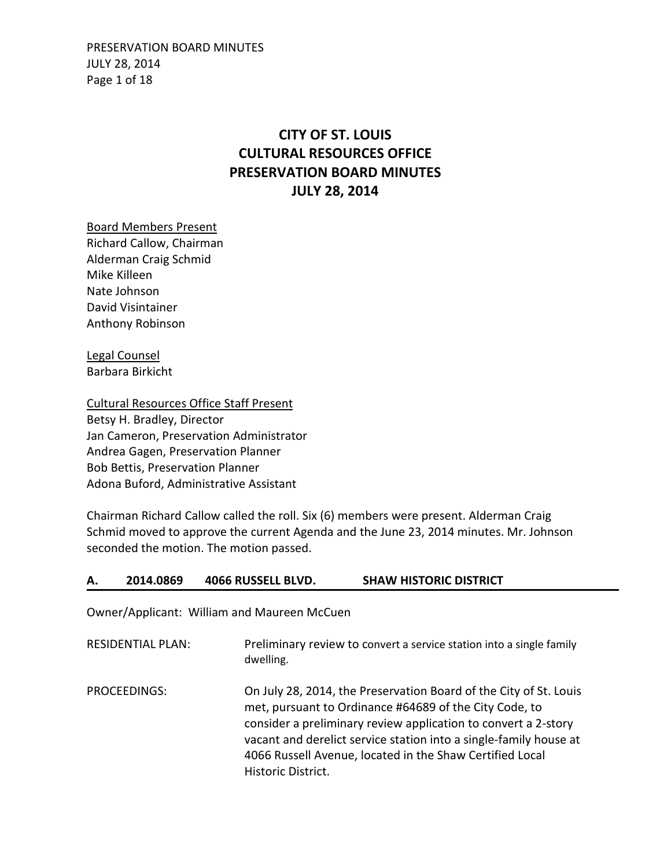PRESERVATION BOARD MINUTES JULY 28, 2014 Page 1 of 18

# **CITY OF ST. LOUIS CULTURAL RESOURCES OFFICE PRESERVATION BOARD MINUTES JULY 28, 2014**

Board Members Present Richard Callow, Chairman Alderman Craig Schmid Mike Killeen Nate Johnson David Visintainer Anthony Robinson

Legal Counsel Barbara Birkicht

Cultural Resources Office Staff Present Betsy H. Bradley, Director Jan Cameron, Preservation Administrator Andrea Gagen, Preservation Planner Bob Bettis, Preservation Planner Adona Buford, Administrative Assistant

Chairman Richard Callow called the roll. Six (6) members were present. Alderman Craig Schmid moved to approve the current Agenda and the June 23, 2014 minutes. Mr. Johnson seconded the motion. The motion passed.

### **A. 2014.0869 4066 RUSSELL BLVD. SHAW HISTORIC DISTRICT**

Owner/Applicant: William and Maureen McCuen

| <b>RESIDENTIAL PLAN:</b> | Preliminary review to convert a service station into a single family<br>dwelling.                                                                                                                                                                                                                                                                    |
|--------------------------|------------------------------------------------------------------------------------------------------------------------------------------------------------------------------------------------------------------------------------------------------------------------------------------------------------------------------------------------------|
| PROCEEDINGS:             | On July 28, 2014, the Preservation Board of the City of St. Louis<br>met, pursuant to Ordinance #64689 of the City Code, to<br>consider a preliminary review application to convert a 2-story<br>vacant and derelict service station into a single-family house at<br>4066 Russell Avenue, located in the Shaw Certified Local<br>Historic District. |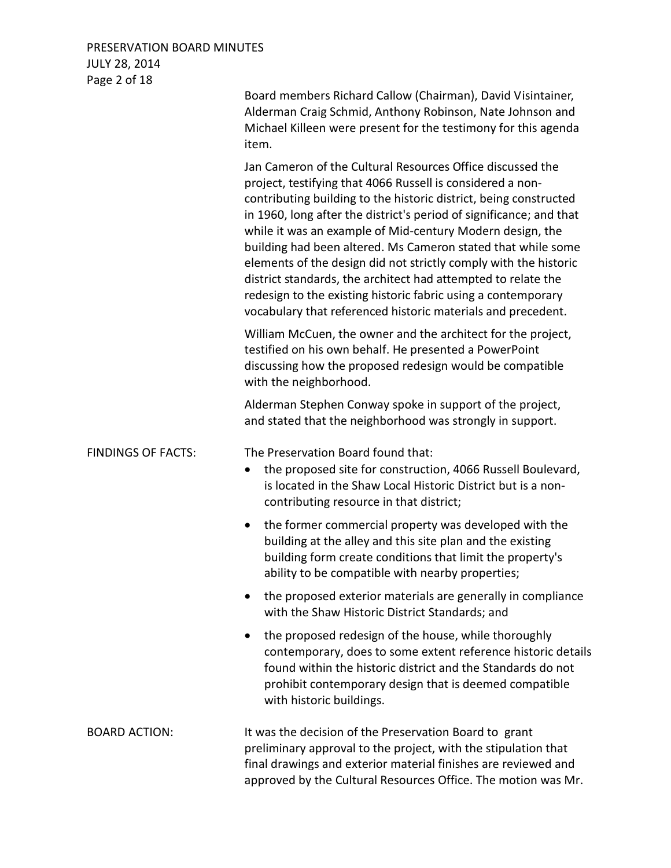## PRESERVATION BOARD MINUTES JULY 28, 2014 Page 2 of 18

| $1.95C + 01 + C$          | Board members Richard Callow (Chairman), David Visintainer,                                                                                                                                                                                                                                                                                                                                                                                                                                                                                                                                                                                                             |
|---------------------------|-------------------------------------------------------------------------------------------------------------------------------------------------------------------------------------------------------------------------------------------------------------------------------------------------------------------------------------------------------------------------------------------------------------------------------------------------------------------------------------------------------------------------------------------------------------------------------------------------------------------------------------------------------------------------|
|                           | Alderman Craig Schmid, Anthony Robinson, Nate Johnson and<br>Michael Killeen were present for the testimony for this agenda<br>item.                                                                                                                                                                                                                                                                                                                                                                                                                                                                                                                                    |
|                           | Jan Cameron of the Cultural Resources Office discussed the<br>project, testifying that 4066 Russell is considered a non-<br>contributing building to the historic district, being constructed<br>in 1960, long after the district's period of significance; and that<br>while it was an example of Mid-century Modern design, the<br>building had been altered. Ms Cameron stated that while some<br>elements of the design did not strictly comply with the historic<br>district standards, the architect had attempted to relate the<br>redesign to the existing historic fabric using a contemporary<br>vocabulary that referenced historic materials and precedent. |
|                           | William McCuen, the owner and the architect for the project,<br>testified on his own behalf. He presented a PowerPoint<br>discussing how the proposed redesign would be compatible<br>with the neighborhood.                                                                                                                                                                                                                                                                                                                                                                                                                                                            |
|                           | Alderman Stephen Conway spoke in support of the project,<br>and stated that the neighborhood was strongly in support.                                                                                                                                                                                                                                                                                                                                                                                                                                                                                                                                                   |
| <b>FINDINGS OF FACTS:</b> | The Preservation Board found that:<br>the proposed site for construction, 4066 Russell Boulevard,<br>$\bullet$<br>is located in the Shaw Local Historic District but is a non-<br>contributing resource in that district;                                                                                                                                                                                                                                                                                                                                                                                                                                               |
|                           | the former commercial property was developed with the<br>$\bullet$<br>building at the alley and this site plan and the existing<br>building form create conditions that limit the property's<br>ability to be compatible with nearby properties;                                                                                                                                                                                                                                                                                                                                                                                                                        |
|                           | the proposed exterior materials are generally in compliance<br>with the Shaw Historic District Standards; and                                                                                                                                                                                                                                                                                                                                                                                                                                                                                                                                                           |
|                           | the proposed redesign of the house, while thoroughly<br>$\bullet$<br>contemporary, does to some extent reference historic details<br>found within the historic district and the Standards do not<br>prohibit contemporary design that is deemed compatible<br>with historic buildings.                                                                                                                                                                                                                                                                                                                                                                                  |
| <b>BOARD ACTION:</b>      | It was the decision of the Preservation Board to grant<br>preliminary approval to the project, with the stipulation that<br>final drawings and exterior material finishes are reviewed and<br>approved by the Cultural Resources Office. The motion was Mr.                                                                                                                                                                                                                                                                                                                                                                                                             |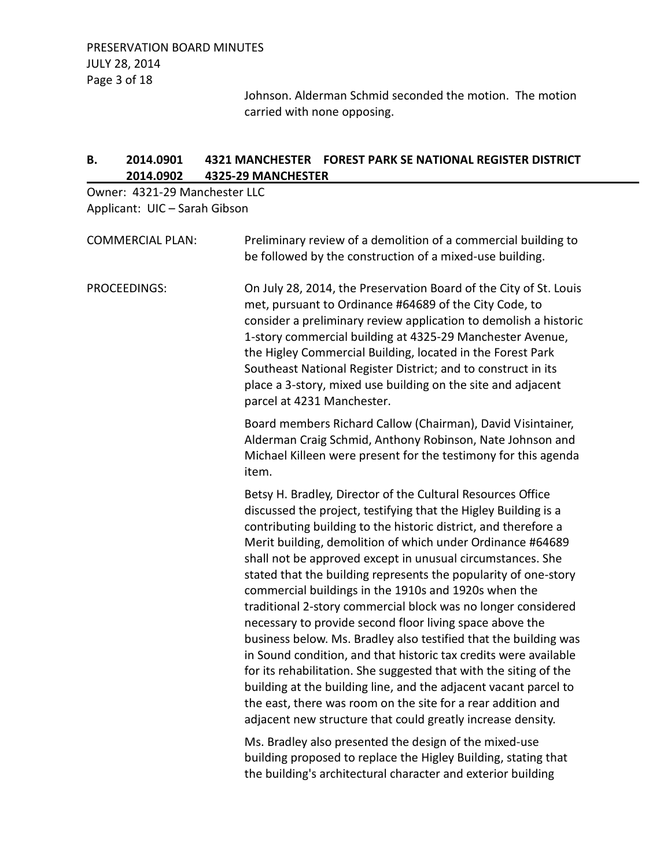Johnson. Alderman Schmid seconded the motion. The motion carried with none opposing.

# **B. 2014.0901 4321 MANCHESTER FOREST PARK SE NATIONAL REGISTER DISTRICT 2014.0902 4325-29 MANCHESTER**

Owner: 4321-29 Manchester LLC Applicant: UIC – Sarah Gibson

| <b>COMMERCIAL PLAN:</b> | Preliminary review of a demolition of a commercial building to<br>be followed by the construction of a mixed-use building.                                                                                                                                                                                                                                                                                                                                                                                                                                                                                                                                                                                                                                                                                                                                                                                                                                                                            |
|-------------------------|-------------------------------------------------------------------------------------------------------------------------------------------------------------------------------------------------------------------------------------------------------------------------------------------------------------------------------------------------------------------------------------------------------------------------------------------------------------------------------------------------------------------------------------------------------------------------------------------------------------------------------------------------------------------------------------------------------------------------------------------------------------------------------------------------------------------------------------------------------------------------------------------------------------------------------------------------------------------------------------------------------|
| PROCEEDINGS:            | On July 28, 2014, the Preservation Board of the City of St. Louis<br>met, pursuant to Ordinance #64689 of the City Code, to<br>consider a preliminary review application to demolish a historic<br>1-story commercial building at 4325-29 Manchester Avenue,<br>the Higley Commercial Building, located in the Forest Park<br>Southeast National Register District; and to construct in its<br>place a 3-story, mixed use building on the site and adjacent<br>parcel at 4231 Manchester.                                                                                                                                                                                                                                                                                                                                                                                                                                                                                                             |
|                         | Board members Richard Callow (Chairman), David Visintainer,<br>Alderman Craig Schmid, Anthony Robinson, Nate Johnson and<br>Michael Killeen were present for the testimony for this agenda<br>item.                                                                                                                                                                                                                                                                                                                                                                                                                                                                                                                                                                                                                                                                                                                                                                                                   |
|                         | Betsy H. Bradley, Director of the Cultural Resources Office<br>discussed the project, testifying that the Higley Building is a<br>contributing building to the historic district, and therefore a<br>Merit building, demolition of which under Ordinance #64689<br>shall not be approved except in unusual circumstances. She<br>stated that the building represents the popularity of one-story<br>commercial buildings in the 1910s and 1920s when the<br>traditional 2-story commercial block was no longer considered<br>necessary to provide second floor living space above the<br>business below. Ms. Bradley also testified that the building was<br>in Sound condition, and that historic tax credits were available<br>for its rehabilitation. She suggested that with the siting of the<br>building at the building line, and the adjacent vacant parcel to<br>the east, there was room on the site for a rear addition and<br>adjacent new structure that could greatly increase density. |
|                         | Mc Bradley also presented the design of the mived-use                                                                                                                                                                                                                                                                                                                                                                                                                                                                                                                                                                                                                                                                                                                                                                                                                                                                                                                                                 |

Ms. Bradley also presented the design of the mixed-use building proposed to replace the Higley Building, stating that the building's architectural character and exterior building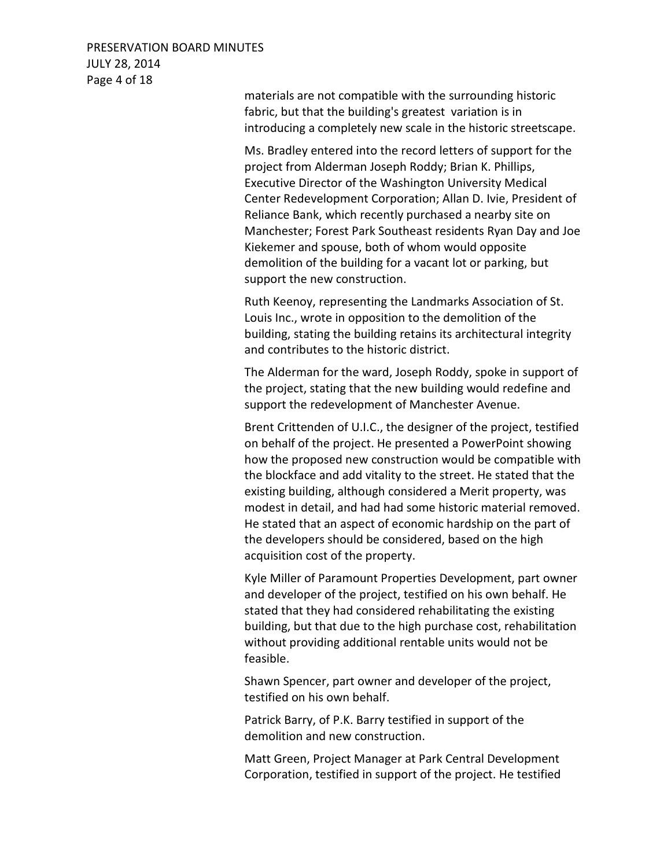# PRESERVATION BOARD MINUTES JULY 28, 2014 Page 4 of 18

materials are not compatible with the surrounding historic fabric, but that the building's greatest variation is in introducing a completely new scale in the historic streetscape.

Ms. Bradley entered into the record letters of support for the project from Alderman Joseph Roddy; Brian K. Phillips, Executive Director of the Washington University Medical Center Redevelopment Corporation; Allan D. Ivie, President of Reliance Bank, which recently purchased a nearby site on Manchester; Forest Park Southeast residents Ryan Day and Joe Kiekemer and spouse, both of whom would opposite demolition of the building for a vacant lot or parking, but support the new construction.

Ruth Keenoy, representing the Landmarks Association of St. Louis Inc., wrote in opposition to the demolition of the building, stating the building retains its architectural integrity and contributes to the historic district.

The Alderman for the ward, Joseph Roddy, spoke in support of the project, stating that the new building would redefine and support the redevelopment of Manchester Avenue.

Brent Crittenden of U.I.C., the designer of the project, testified on behalf of the project. He presented a PowerPoint showing how the proposed new construction would be compatible with the blockface and add vitality to the street. He stated that the existing building, although considered a Merit property, was modest in detail, and had had some historic material removed. He stated that an aspect of economic hardship on the part of the developers should be considered, based on the high acquisition cost of the property.

Kyle Miller of Paramount Properties Development, part owner and developer of the project, testified on his own behalf. He stated that they had considered rehabilitating the existing building, but that due to the high purchase cost, rehabilitation without providing additional rentable units would not be feasible.

Shawn Spencer, part owner and developer of the project, testified on his own behalf.

Patrick Barry, of P.K. Barry testified in support of the demolition and new construction.

Matt Green, Project Manager at Park Central Development Corporation, testified in support of the project. He testified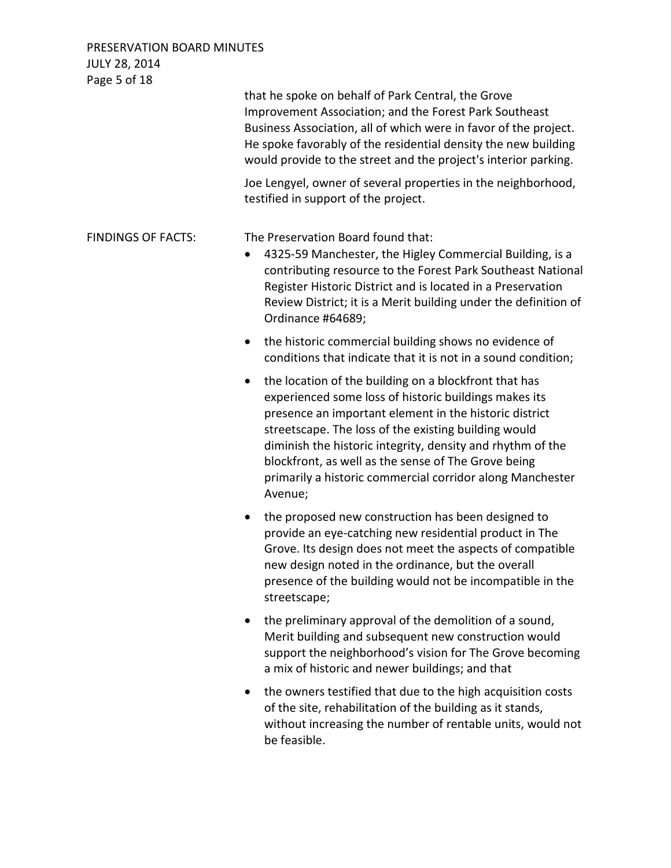| Page 5 of 18              |                                                                                                                                                                                                                                                                                                                                                                                                                                            |
|---------------------------|--------------------------------------------------------------------------------------------------------------------------------------------------------------------------------------------------------------------------------------------------------------------------------------------------------------------------------------------------------------------------------------------------------------------------------------------|
|                           | that he spoke on behalf of Park Central, the Grove<br>Improvement Association; and the Forest Park Southeast<br>Business Association, all of which were in favor of the project.<br>He spoke favorably of the residential density the new building<br>would provide to the street and the project's interior parking.                                                                                                                      |
|                           | Joe Lengyel, owner of several properties in the neighborhood,<br>testified in support of the project.                                                                                                                                                                                                                                                                                                                                      |
| <b>FINDINGS OF FACTS:</b> | The Preservation Board found that:<br>4325-59 Manchester, the Higley Commercial Building, is a<br>contributing resource to the Forest Park Southeast National<br>Register Historic District and is located in a Preservation<br>Review District; it is a Merit building under the definition of<br>Ordinance #64689;                                                                                                                       |
|                           | the historic commercial building shows no evidence of<br>$\bullet$<br>conditions that indicate that it is not in a sound condition;                                                                                                                                                                                                                                                                                                        |
|                           | the location of the building on a blockfront that has<br>$\bullet$<br>experienced some loss of historic buildings makes its<br>presence an important element in the historic district<br>streetscape. The loss of the existing building would<br>diminish the historic integrity, density and rhythm of the<br>blockfront, as well as the sense of The Grove being<br>primarily a historic commercial corridor along Manchester<br>Avenue; |
|                           | the proposed new construction has been designed to<br>$\bullet$<br>provide an eye-catching new residential product in The<br>Grove. Its design does not meet the aspects of compatible<br>new design noted in the ordinance, but the overall<br>presence of the building would not be incompatible in the<br>streetscape;                                                                                                                  |
|                           | the preliminary approval of the demolition of a sound,<br>Merit building and subsequent new construction would<br>support the neighborhood's vision for The Grove becoming<br>a mix of historic and newer buildings; and that                                                                                                                                                                                                              |
|                           | the owners testified that due to the high acquisition costs<br>$\bullet$<br>of the site, rehabilitation of the building as it stands,<br>without increasing the number of rentable units, would not<br>be feasible.                                                                                                                                                                                                                        |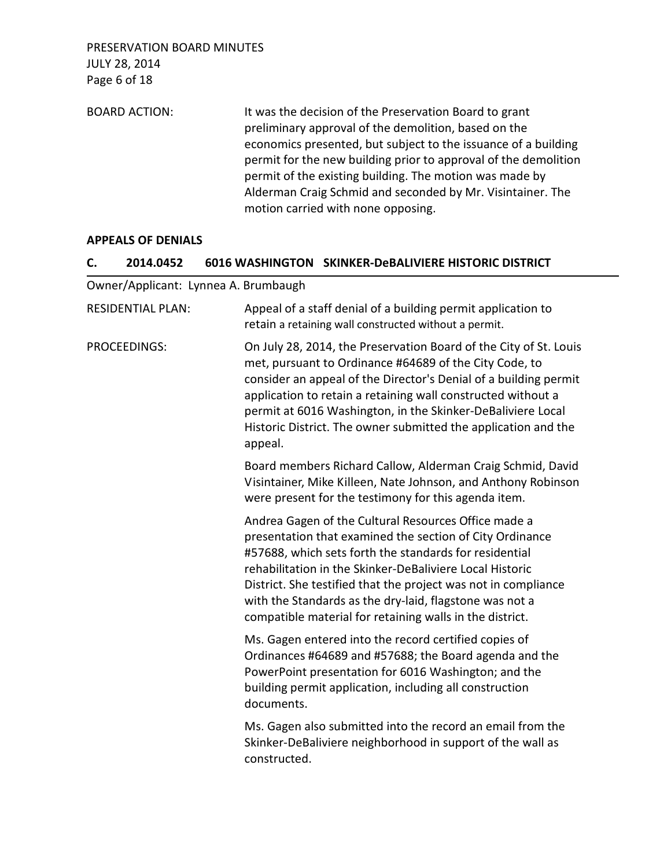BOARD ACTION: It was the decision of the Preservation Board to grant preliminary approval of the demolition, based on the economics presented, but subject to the issuance of a building permit for the new building prior to approval of the demolition permit of the existing building. The motion was made by Alderman Craig Schmid and seconded by Mr. Visintainer. The motion carried with none opposing.

### **APPEALS OF DENIALS**

#### **C. 2014.0452 6016 WASHINGTON SKINKER-DeBALIVIERE HISTORIC DISTRICT**

Owner/Applicant: Lynnea A. Brumbaugh

| <b>RESIDENTIAL PLAN:</b> | Appeal of a staff denial of a building permit application to<br>retain a retaining wall constructed without a permit.                                                                                                                                                                                                                                                                                                           |
|--------------------------|---------------------------------------------------------------------------------------------------------------------------------------------------------------------------------------------------------------------------------------------------------------------------------------------------------------------------------------------------------------------------------------------------------------------------------|
| PROCEEDINGS:             | On July 28, 2014, the Preservation Board of the City of St. Louis<br>met, pursuant to Ordinance #64689 of the City Code, to<br>consider an appeal of the Director's Denial of a building permit<br>application to retain a retaining wall constructed without a<br>permit at 6016 Washington, in the Skinker-DeBaliviere Local<br>Historic District. The owner submitted the application and the<br>appeal.                     |
|                          | Board members Richard Callow, Alderman Craig Schmid, David<br>Visintainer, Mike Killeen, Nate Johnson, and Anthony Robinson<br>were present for the testimony for this agenda item.                                                                                                                                                                                                                                             |
|                          | Andrea Gagen of the Cultural Resources Office made a<br>presentation that examined the section of City Ordinance<br>#57688, which sets forth the standards for residential<br>rehabilitation in the Skinker-DeBaliviere Local Historic<br>District. She testified that the project was not in compliance<br>with the Standards as the dry-laid, flagstone was not a<br>compatible material for retaining walls in the district. |
|                          | Ms. Gagen entered into the record certified copies of<br>Ordinances #64689 and #57688; the Board agenda and the<br>PowerPoint presentation for 6016 Washington; and the<br>building permit application, including all construction<br>documents.                                                                                                                                                                                |
|                          | Ms. Gagen also submitted into the record an email from the<br>Skinker-DeBaliviere neighborhood in support of the wall as<br>constructed.                                                                                                                                                                                                                                                                                        |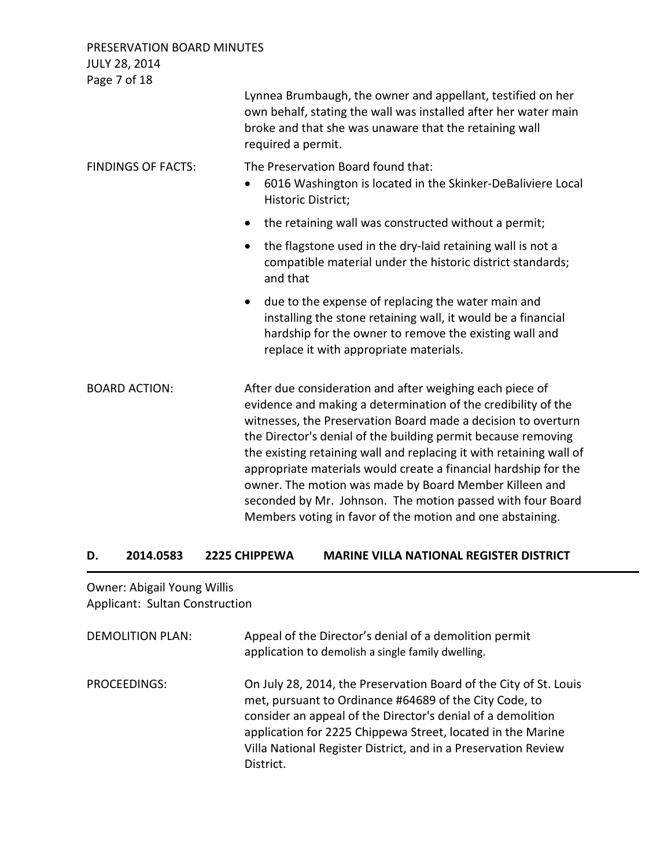Page 7 of 18 Lynnea Brumbaugh, the owner and appellant, testified on her own behalf, stating the wall was installed after her water main broke and that she was unaware that the retaining wall required a permit. FINDINGS OF FACTS: The Preservation Board found that: • 6016 Washington is located in the Skinker-DeBaliviere Local Historic District; • the retaining wall was constructed without a permit; • the flagstone used in the dry-laid retaining wall is not a compatible material under the historic district standards; and that • due to the expense of replacing the water main and installing the stone retaining wall, it would be a financial hardship for the owner to remove the existing wall and replace it with appropriate materials. BOARD ACTION: After due consideration and after weighing each piece of evidence and making a determination of the credibility of the witnesses, the Preservation Board made a decision to overturn the Director's denial of the building permit because removing the existing retaining wall and replacing it with retaining wall of appropriate materials would create a financial hardship for the owner. The motion was made by Board Member Killeen and seconded by Mr. Johnson. The motion passed with four Board Members voting in favor of the motion and one abstaining.

### **D. 2014.0583 2225 CHIPPEWA MARINE VILLA NATIONAL REGISTER DISTRICT**

Owner: Abigail Young Willis Applicant: Sultan Construction

| <b>DEMOLITION PLAN:</b> | Appeal of the Director's denial of a demolition permit<br>application to demolish a single family dwelling.                                                                                                                                                                                                                              |
|-------------------------|------------------------------------------------------------------------------------------------------------------------------------------------------------------------------------------------------------------------------------------------------------------------------------------------------------------------------------------|
| PROCEEDINGS:            | On July 28, 2014, the Preservation Board of the City of St. Louis<br>met, pursuant to Ordinance #64689 of the City Code, to<br>consider an appeal of the Director's denial of a demolition<br>application for 2225 Chippewa Street, located in the Marine<br>Villa National Register District, and in a Preservation Review<br>District. |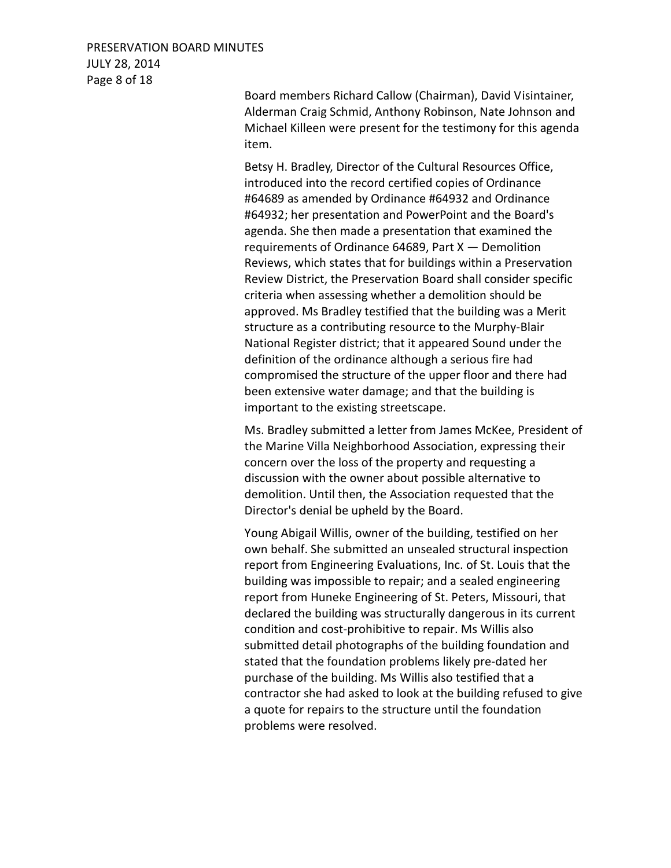# PRESERVATION BOARD MINUTES JULY 28, 2014 Page 8 of 18

Board members Richard Callow (Chairman), David Visintainer, Alderman Craig Schmid, Anthony Robinson, Nate Johnson and Michael Killeen were present for the testimony for this agenda item.

Betsy H. Bradley, Director of the Cultural Resources Office, introduced into the record certified copies of Ordinance #64689 as amended by Ordinance #64932 and Ordinance #64932; her presentation and PowerPoint and the Board's agenda. She then made a presentation that examined the requirements of Ordinance 64689, Part  $X$  – Demolition Reviews, which states that for buildings within a Preservation Review District, the Preservation Board shall consider specific criteria when assessing whether a demolition should be approved. Ms Bradley testified that the building was a Merit structure as a contributing resource to the Murphy-Blair National Register district; that it appeared Sound under the definition of the ordinance although a serious fire had compromised the structure of the upper floor and there had been extensive water damage; and that the building is important to the existing streetscape.

Ms. Bradley submitted a letter from James McKee, President of the Marine Villa Neighborhood Association, expressing their concern over the loss of the property and requesting a discussion with the owner about possible alternative to demolition. Until then, the Association requested that the Director's denial be upheld by the Board.

Young Abigail Willis, owner of the building, testified on her own behalf. She submitted an unsealed structural inspection report from Engineering Evaluations, Inc. of St. Louis that the building was impossible to repair; and a sealed engineering report from Huneke Engineering of St. Peters, Missouri, that declared the building was structurally dangerous in its current condition and cost-prohibitive to repair. Ms Willis also submitted detail photographs of the building foundation and stated that the foundation problems likely pre-dated her purchase of the building. Ms Willis also testified that a contractor she had asked to look at the building refused to give a quote for repairs to the structure until the foundation problems were resolved.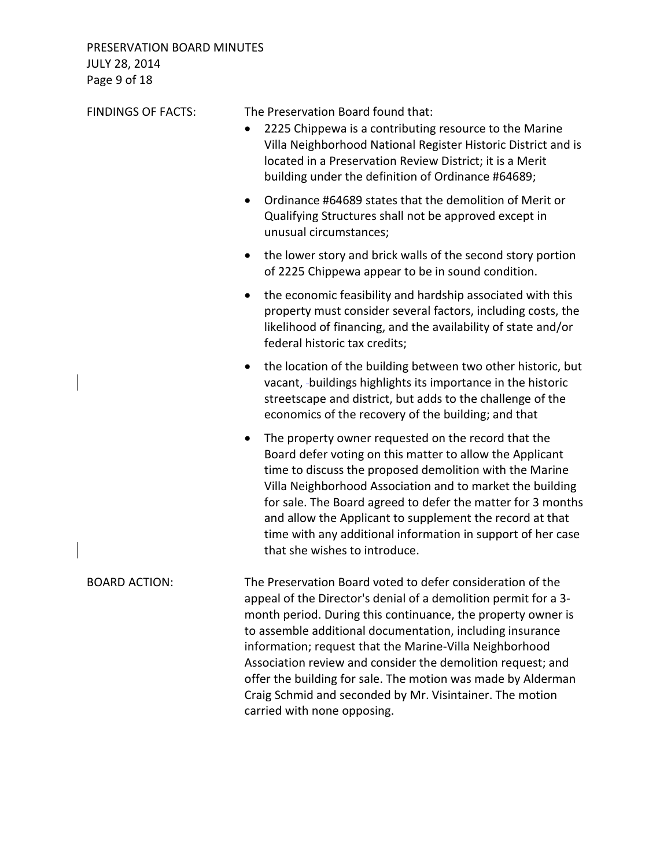PRESERVATION BOARD MINUTES JULY 28, 2014 Page 9 of 18

| <b>FINDINGS OF FACTS:</b> | The Preservation Board found that:<br>2225 Chippewa is a contributing resource to the Marine<br>$\bullet$<br>Villa Neighborhood National Register Historic District and is<br>located in a Preservation Review District; it is a Merit<br>building under the definition of Ordinance #64689;                                                                                                                                                                                                                                                    |
|---------------------------|-------------------------------------------------------------------------------------------------------------------------------------------------------------------------------------------------------------------------------------------------------------------------------------------------------------------------------------------------------------------------------------------------------------------------------------------------------------------------------------------------------------------------------------------------|
|                           | Ordinance #64689 states that the demolition of Merit or<br>$\bullet$<br>Qualifying Structures shall not be approved except in<br>unusual circumstances;                                                                                                                                                                                                                                                                                                                                                                                         |
|                           | the lower story and brick walls of the second story portion<br>of 2225 Chippewa appear to be in sound condition.                                                                                                                                                                                                                                                                                                                                                                                                                                |
|                           | the economic feasibility and hardship associated with this<br>property must consider several factors, including costs, the<br>likelihood of financing, and the availability of state and/or<br>federal historic tax credits;                                                                                                                                                                                                                                                                                                                    |
|                           | the location of the building between two other historic, but<br>$\bullet$<br>vacant, -buildings highlights its importance in the historic<br>streetscape and district, but adds to the challenge of the<br>economics of the recovery of the building; and that                                                                                                                                                                                                                                                                                  |
|                           | The property owner requested on the record that the<br>Board defer voting on this matter to allow the Applicant<br>time to discuss the proposed demolition with the Marine<br>Villa Neighborhood Association and to market the building<br>for sale. The Board agreed to defer the matter for 3 months<br>and allow the Applicant to supplement the record at that<br>time with any additional information in support of her case<br>that she wishes to introduce.                                                                              |
| <b>BOARD ACTION:</b>      | The Preservation Board voted to defer consideration of the<br>appeal of the Director's denial of a demolition permit for a 3-<br>month period. During this continuance, the property owner is<br>to assemble additional documentation, including insurance<br>information; request that the Marine-Villa Neighborhood<br>Association review and consider the demolition request; and<br>offer the building for sale. The motion was made by Alderman<br>Craig Schmid and seconded by Mr. Visintainer. The motion<br>carried with none opposing. |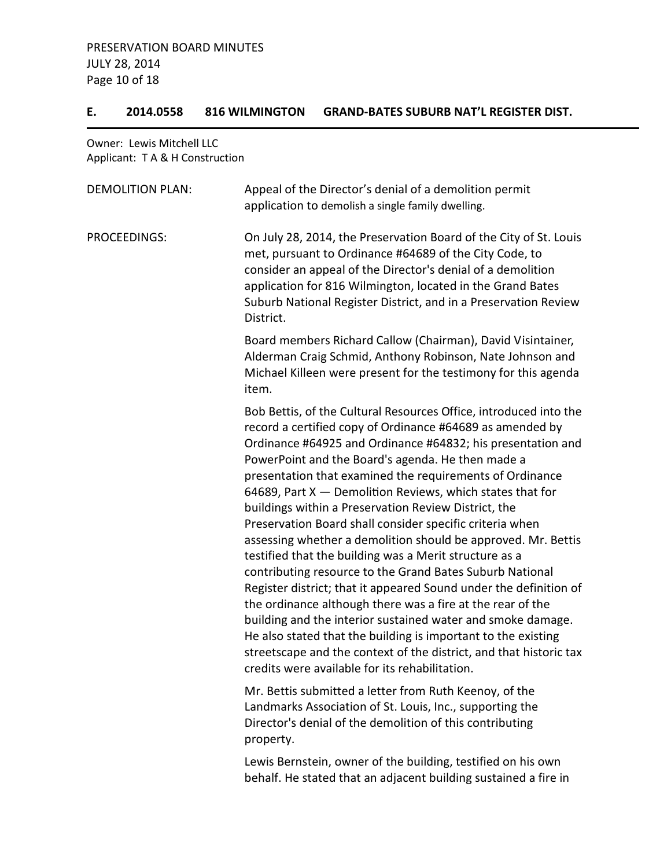### **E. 2014.0558 816 WILMINGTON GRAND-BATES SUBURB NAT'L REGISTER DIST.**

Owner: Lewis Mitchell LLC Applicant: T A & H Construction

| <b>DEMOLITION PLAN:</b> | Appeal of the Director's denial of a demolition permit<br>application to demolish a single family dwelling.                                                                                                                                                                                                                                                                                                                                                                                                                                                                                                                                                                                                                                                                                                                                                                                                                                                                                                                                                                       |
|-------------------------|-----------------------------------------------------------------------------------------------------------------------------------------------------------------------------------------------------------------------------------------------------------------------------------------------------------------------------------------------------------------------------------------------------------------------------------------------------------------------------------------------------------------------------------------------------------------------------------------------------------------------------------------------------------------------------------------------------------------------------------------------------------------------------------------------------------------------------------------------------------------------------------------------------------------------------------------------------------------------------------------------------------------------------------------------------------------------------------|
| PROCEEDINGS:            | On July 28, 2014, the Preservation Board of the City of St. Louis<br>met, pursuant to Ordinance #64689 of the City Code, to<br>consider an appeal of the Director's denial of a demolition<br>application for 816 Wilmington, located in the Grand Bates<br>Suburb National Register District, and in a Preservation Review<br>District.                                                                                                                                                                                                                                                                                                                                                                                                                                                                                                                                                                                                                                                                                                                                          |
|                         | Board members Richard Callow (Chairman), David Visintainer,<br>Alderman Craig Schmid, Anthony Robinson, Nate Johnson and<br>Michael Killeen were present for the testimony for this agenda<br>item.                                                                                                                                                                                                                                                                                                                                                                                                                                                                                                                                                                                                                                                                                                                                                                                                                                                                               |
|                         | Bob Bettis, of the Cultural Resources Office, introduced into the<br>record a certified copy of Ordinance #64689 as amended by<br>Ordinance #64925 and Ordinance #64832; his presentation and<br>PowerPoint and the Board's agenda. He then made a<br>presentation that examined the requirements of Ordinance<br>64689, Part X - Demolition Reviews, which states that for<br>buildings within a Preservation Review District, the<br>Preservation Board shall consider specific criteria when<br>assessing whether a demolition should be approved. Mr. Bettis<br>testified that the building was a Merit structure as a<br>contributing resource to the Grand Bates Suburb National<br>Register district; that it appeared Sound under the definition of<br>the ordinance although there was a fire at the rear of the<br>building and the interior sustained water and smoke damage.<br>He also stated that the building is important to the existing<br>streetscape and the context of the district, and that historic tax<br>credits were available for its rehabilitation. |
|                         | Mr. Bettis submitted a letter from Ruth Keenoy, of the<br>Landmarks Association of St. Louis, Inc., supporting the<br>Director's denial of the demolition of this contributing<br>property.                                                                                                                                                                                                                                                                                                                                                                                                                                                                                                                                                                                                                                                                                                                                                                                                                                                                                       |

Lewis Bernstein, owner of the building, testified on his own behalf. He stated that an adjacent building sustained a fire in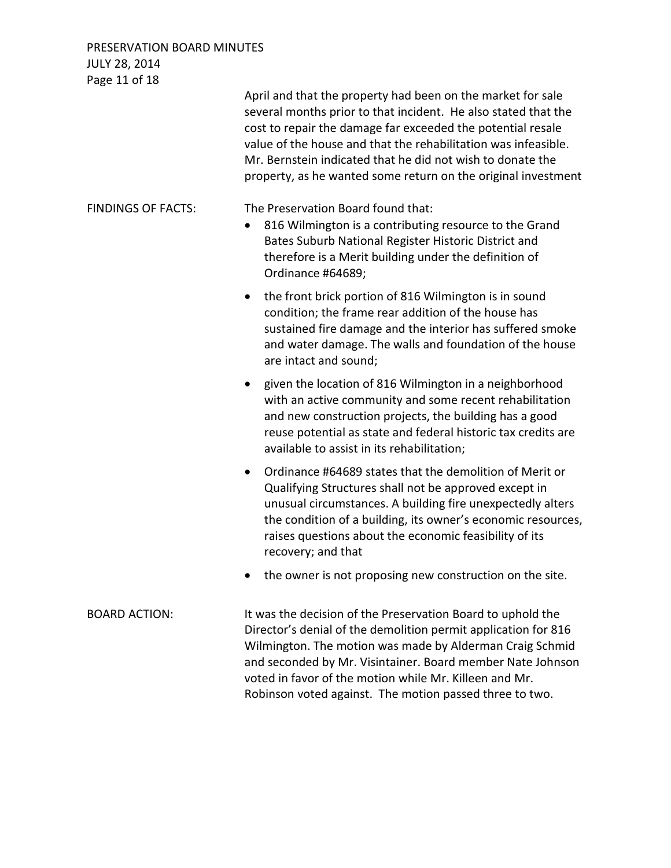| Page 11 of 18             |                                                                                                                                                                                                                                                                                                                                                                                               |
|---------------------------|-----------------------------------------------------------------------------------------------------------------------------------------------------------------------------------------------------------------------------------------------------------------------------------------------------------------------------------------------------------------------------------------------|
|                           | April and that the property had been on the market for sale<br>several months prior to that incident. He also stated that the<br>cost to repair the damage far exceeded the potential resale<br>value of the house and that the rehabilitation was infeasible.<br>Mr. Bernstein indicated that he did not wish to donate the<br>property, as he wanted some return on the original investment |
| <b>FINDINGS OF FACTS:</b> | The Preservation Board found that:<br>816 Wilmington is a contributing resource to the Grand<br>Bates Suburb National Register Historic District and<br>therefore is a Merit building under the definition of<br>Ordinance #64689;                                                                                                                                                            |
|                           | the front brick portion of 816 Wilmington is in sound<br>$\bullet$<br>condition; the frame rear addition of the house has<br>sustained fire damage and the interior has suffered smoke<br>and water damage. The walls and foundation of the house<br>are intact and sound;                                                                                                                    |
|                           | given the location of 816 Wilmington in a neighborhood<br>$\bullet$<br>with an active community and some recent rehabilitation<br>and new construction projects, the building has a good<br>reuse potential as state and federal historic tax credits are<br>available to assist in its rehabilitation;                                                                                       |
|                           | Ordinance #64689 states that the demolition of Merit or<br>$\bullet$<br>Qualifying Structures shall not be approved except in<br>unusual circumstances. A building fire unexpectedly alters<br>the condition of a building, its owner's economic resources,<br>raises questions about the economic feasibility of its<br>recovery; and that                                                   |
|                           | the owner is not proposing new construction on the site.                                                                                                                                                                                                                                                                                                                                      |
| <b>BOARD ACTION:</b>      | It was the decision of the Preservation Board to uphold the<br>Director's denial of the demolition permit application for 816<br>Wilmington. The motion was made by Alderman Craig Schmid<br>and seconded by Mr. Visintainer. Board member Nate Johnson<br>voted in favor of the motion while Mr. Killeen and Mr.                                                                             |

Robinson voted against. The motion passed three to two.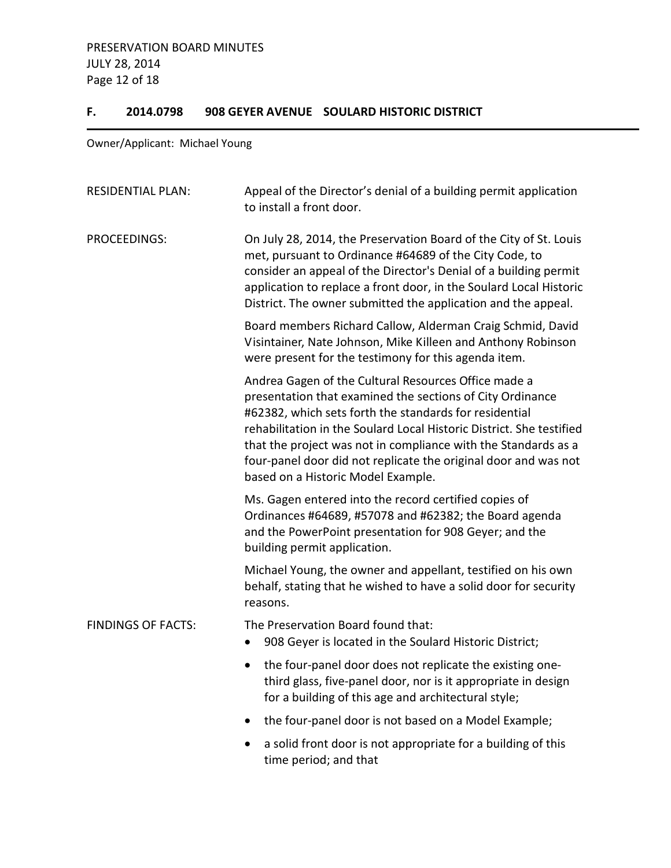### **F. 2014.0798 908 GEYER AVENUE SOULARD HISTORIC DISTRICT**

Owner/Applicant: Michael Young

| <b>RESIDENTIAL PLAN:</b>  | Appeal of the Director's denial of a building permit application<br>to install a front door.                                                                                                                                                                                                                                                                                                                                   |
|---------------------------|--------------------------------------------------------------------------------------------------------------------------------------------------------------------------------------------------------------------------------------------------------------------------------------------------------------------------------------------------------------------------------------------------------------------------------|
| PROCEEDINGS:              | On July 28, 2014, the Preservation Board of the City of St. Louis<br>met, pursuant to Ordinance #64689 of the City Code, to<br>consider an appeal of the Director's Denial of a building permit<br>application to replace a front door, in the Soulard Local Historic<br>District. The owner submitted the application and the appeal.                                                                                         |
|                           | Board members Richard Callow, Alderman Craig Schmid, David<br>Visintainer, Nate Johnson, Mike Killeen and Anthony Robinson<br>were present for the testimony for this agenda item.                                                                                                                                                                                                                                             |
|                           | Andrea Gagen of the Cultural Resources Office made a<br>presentation that examined the sections of City Ordinance<br>#62382, which sets forth the standards for residential<br>rehabilitation in the Soulard Local Historic District. She testified<br>that the project was not in compliance with the Standards as a<br>four-panel door did not replicate the original door and was not<br>based on a Historic Model Example. |
|                           | Ms. Gagen entered into the record certified copies of<br>Ordinances #64689, #57078 and #62382; the Board agenda<br>and the PowerPoint presentation for 908 Geyer; and the<br>building permit application.                                                                                                                                                                                                                      |
|                           | Michael Young, the owner and appellant, testified on his own<br>behalf, stating that he wished to have a solid door for security<br>reasons.                                                                                                                                                                                                                                                                                   |
| <b>FINDINGS OF FACTS:</b> | The Preservation Board found that:<br>908 Geyer is located in the Soulard Historic District;<br>$\bullet$                                                                                                                                                                                                                                                                                                                      |
|                           | the four-panel door does not replicate the existing one-<br>third glass, five-panel door, nor is it appropriate in design<br>for a building of this age and architectural style;                                                                                                                                                                                                                                               |
|                           | the four-panel door is not based on a Model Example;                                                                                                                                                                                                                                                                                                                                                                           |
|                           | a solid front door is not appropriate for a building of this<br>time period; and that                                                                                                                                                                                                                                                                                                                                          |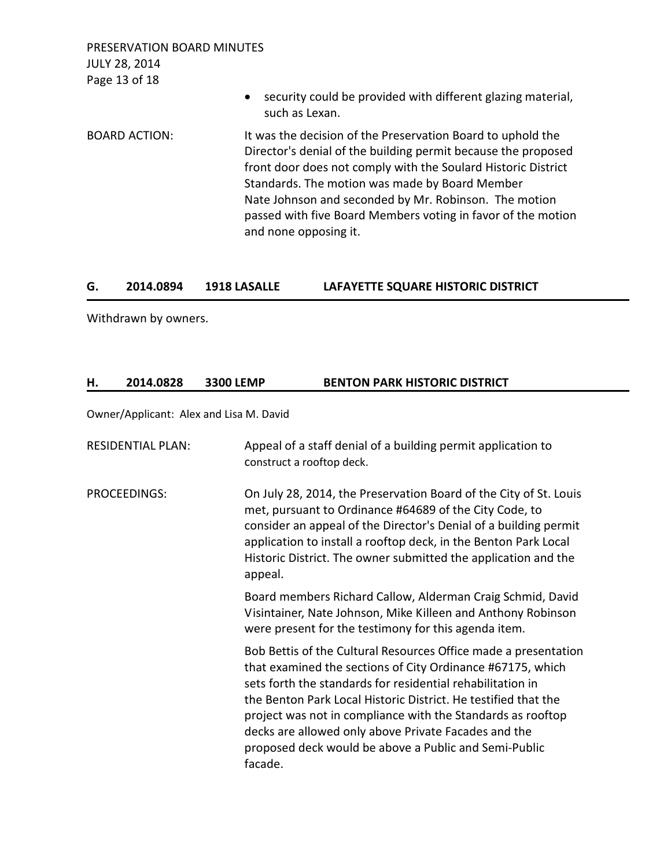PRESERVATION BOARD MINUTES JULY 28, 2014 Page 13 of 18 • security could be provided with different glazing material, such as Lexan. BOARD ACTION: It was the decision of the Preservation Board to uphold the Director's denial of the building permit because the proposed front door does not comply with the Soulard Historic District Standards. The motion was made by Board Member Nate Johnson and seconded by Mr. Robinson. The motion passed with five Board Members voting in favor of the motion and none opposing it.

### **G. 2014.0894 1918 LASALLE LAFAYETTE SQUARE HISTORIC DISTRICT**

Withdrawn by owners.

### **H. 2014.0828 3300 LEMP BENTON PARK HISTORIC DISTRICT**

Owner/Applicant: Alex and Lisa M. David

| <b>RESIDENTIAL PLAN:</b> | Appeal of a staff denial of a building permit application to<br>construct a rooftop deck.                                                                                                                                                                                                                                                                                                                                                                |
|--------------------------|----------------------------------------------------------------------------------------------------------------------------------------------------------------------------------------------------------------------------------------------------------------------------------------------------------------------------------------------------------------------------------------------------------------------------------------------------------|
| PROCEEDINGS:             | On July 28, 2014, the Preservation Board of the City of St. Louis<br>met, pursuant to Ordinance #64689 of the City Code, to<br>consider an appeal of the Director's Denial of a building permit<br>application to install a rooftop deck, in the Benton Park Local<br>Historic District. The owner submitted the application and the<br>appeal.                                                                                                          |
|                          | Board members Richard Callow, Alderman Craig Schmid, David<br>Visintainer, Nate Johnson, Mike Killeen and Anthony Robinson<br>were present for the testimony for this agenda item.                                                                                                                                                                                                                                                                       |
|                          | Bob Bettis of the Cultural Resources Office made a presentation<br>that examined the sections of City Ordinance #67175, which<br>sets forth the standards for residential rehabilitation in<br>the Benton Park Local Historic District. He testified that the<br>project was not in compliance with the Standards as rooftop<br>decks are allowed only above Private Facades and the<br>proposed deck would be above a Public and Semi-Public<br>facade. |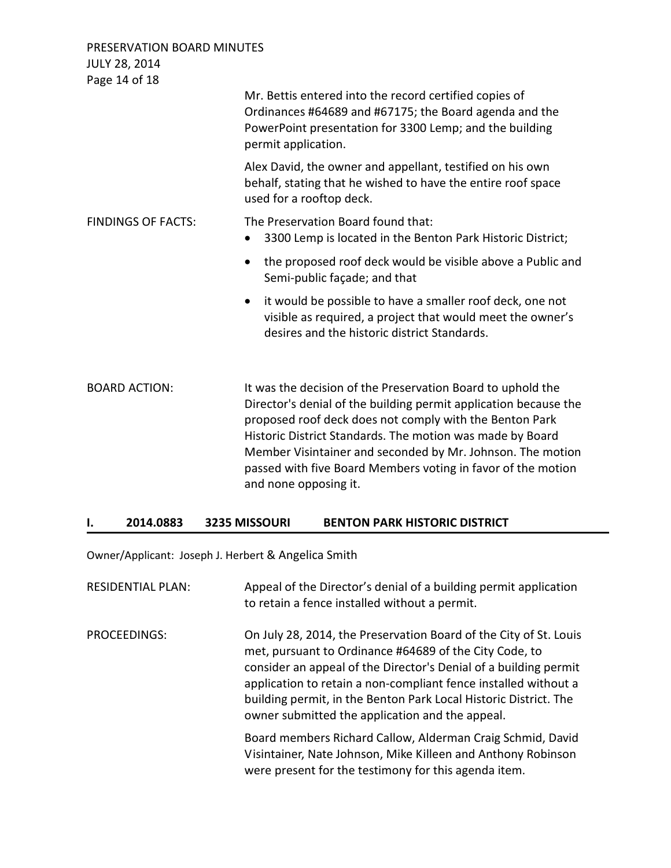| PRESERVATION BOARD MINUTES<br><b>JULY 28, 2014</b> |                                                                                                                                                                                                                                                                                                                                                                                                                |
|----------------------------------------------------|----------------------------------------------------------------------------------------------------------------------------------------------------------------------------------------------------------------------------------------------------------------------------------------------------------------------------------------------------------------------------------------------------------------|
| Page 14 of 18                                      | Mr. Bettis entered into the record certified copies of<br>Ordinances #64689 and #67175; the Board agenda and the<br>PowerPoint presentation for 3300 Lemp; and the building<br>permit application.                                                                                                                                                                                                             |
|                                                    | Alex David, the owner and appellant, testified on his own<br>behalf, stating that he wished to have the entire roof space<br>used for a rooftop deck.                                                                                                                                                                                                                                                          |
| <b>FINDINGS OF FACTS:</b>                          | The Preservation Board found that:<br>3300 Lemp is located in the Benton Park Historic District;                                                                                                                                                                                                                                                                                                               |
|                                                    | the proposed roof deck would be visible above a Public and<br>$\bullet$<br>Semi-public façade; and that                                                                                                                                                                                                                                                                                                        |
|                                                    | it would be possible to have a smaller roof deck, one not<br>$\bullet$<br>visible as required, a project that would meet the owner's<br>desires and the historic district Standards.                                                                                                                                                                                                                           |
| <b>BOARD ACTION:</b>                               | It was the decision of the Preservation Board to uphold the<br>Director's denial of the building permit application because the<br>proposed roof deck does not comply with the Benton Park<br>Historic District Standards. The motion was made by Board<br>Member Visintainer and seconded by Mr. Johnson. The motion<br>passed with five Board Members voting in favor of the motion<br>and none opposing it. |

# **I. 2014.0883 3235 MISSOURI BENTON PARK HISTORIC DISTRICT**

Owner/Applicant: Joseph J. Herbert & Angelica Smith

| <b>RESIDENTIAL PLAN:</b> | Appeal of the Director's denial of a building permit application<br>to retain a fence installed without a permit.                                                                                                                                                                                                                                                                         |
|--------------------------|-------------------------------------------------------------------------------------------------------------------------------------------------------------------------------------------------------------------------------------------------------------------------------------------------------------------------------------------------------------------------------------------|
| PROCEEDINGS:             | On July 28, 2014, the Preservation Board of the City of St. Louis<br>met, pursuant to Ordinance #64689 of the City Code, to<br>consider an appeal of the Director's Denial of a building permit<br>application to retain a non-compliant fence installed without a<br>building permit, in the Benton Park Local Historic District. The<br>owner submitted the application and the appeal. |
|                          | Board members Richard Callow, Alderman Craig Schmid, David<br>Visintainer, Nate Johnson, Mike Killeen and Anthony Robinson<br>were present for the testimony for this agenda item.                                                                                                                                                                                                        |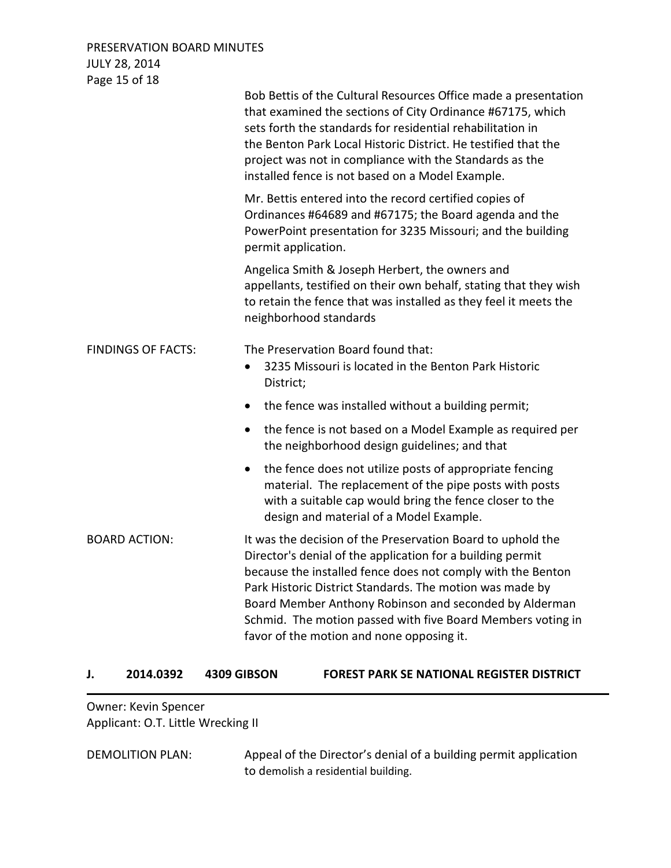PRESERVATION BOARD MINUTES JULY 28, 2014 Page 15 of 18

| Lake T3 OI TO             | Bob Bettis of the Cultural Resources Office made a presentation<br>that examined the sections of City Ordinance #67175, which<br>sets forth the standards for residential rehabilitation in<br>the Benton Park Local Historic District. He testified that the<br>project was not in compliance with the Standards as the<br>installed fence is not based on a Model Example.                                               |
|---------------------------|----------------------------------------------------------------------------------------------------------------------------------------------------------------------------------------------------------------------------------------------------------------------------------------------------------------------------------------------------------------------------------------------------------------------------|
|                           | Mr. Bettis entered into the record certified copies of<br>Ordinances #64689 and #67175; the Board agenda and the<br>PowerPoint presentation for 3235 Missouri; and the building<br>permit application.                                                                                                                                                                                                                     |
|                           | Angelica Smith & Joseph Herbert, the owners and<br>appellants, testified on their own behalf, stating that they wish<br>to retain the fence that was installed as they feel it meets the<br>neighborhood standards                                                                                                                                                                                                         |
| <b>FINDINGS OF FACTS:</b> | The Preservation Board found that:<br>3235 Missouri is located in the Benton Park Historic<br>$\bullet$<br>District;                                                                                                                                                                                                                                                                                                       |
|                           | the fence was installed without a building permit;<br>$\bullet$                                                                                                                                                                                                                                                                                                                                                            |
|                           | the fence is not based on a Model Example as required per<br>٠<br>the neighborhood design guidelines; and that                                                                                                                                                                                                                                                                                                             |
|                           | the fence does not utilize posts of appropriate fencing<br>$\bullet$<br>material. The replacement of the pipe posts with posts<br>with a suitable cap would bring the fence closer to the<br>design and material of a Model Example.                                                                                                                                                                                       |
| <b>BOARD ACTION:</b>      | It was the decision of the Preservation Board to uphold the<br>Director's denial of the application for a building permit<br>because the installed fence does not comply with the Benton<br>Park Historic District Standards. The motion was made by<br>Board Member Anthony Robinson and seconded by Alderman<br>Schmid. The motion passed with five Board Members voting in<br>favor of the motion and none opposing it. |

**J. 2014.0392 4309 GIBSON FOREST PARK SE NATIONAL REGISTER DISTRICT** 

Owner: Kevin Spencer Applicant: O.T. Little Wrecking II

DEMOLITION PLAN: Appeal of the Director's denial of a building permit application to demolish a residential building.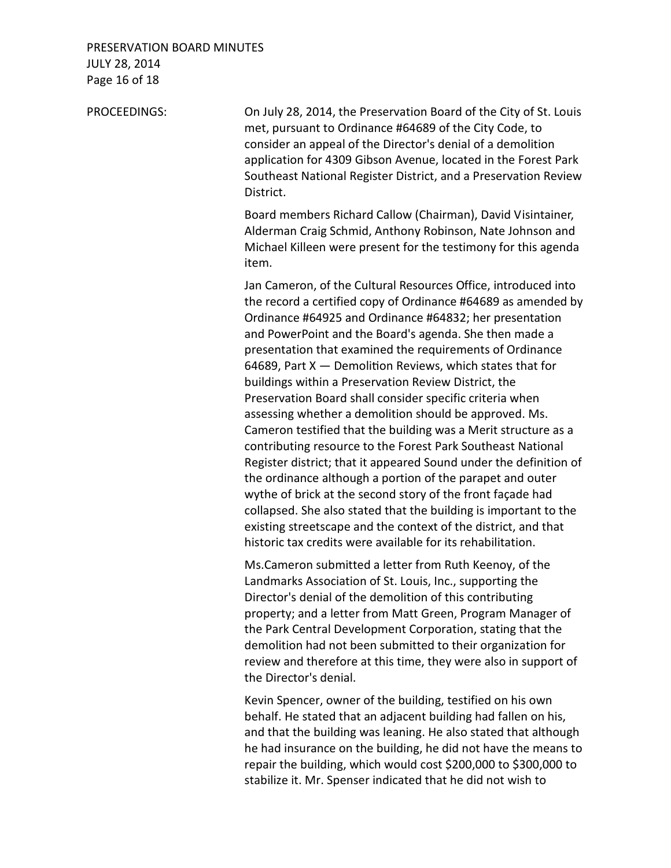## PRESERVATION BOARD MINUTES JULY 28, 2014 Page 16 of 18

PROCEEDINGS: On July 28, 2014, the Preservation Board of the City of St. Louis met, pursuant to Ordinance #64689 of the City Code, to consider an appeal of the Director's denial of a demolition application for 4309 Gibson Avenue, located in the Forest Park Southeast National Register District, and a Preservation Review District.

> Board members Richard Callow (Chairman), David Visintainer, Alderman Craig Schmid, Anthony Robinson, Nate Johnson and Michael Killeen were present for the testimony for this agenda item.

Jan Cameron, of the Cultural Resources Office, introduced into the record a certified copy of Ordinance #64689 as amended by Ordinance #64925 and Ordinance #64832; her presentation and PowerPoint and the Board's agenda. She then made a presentation that examined the requirements of Ordinance 64689, Part  $X$  — Demolition Reviews, which states that for buildings within a Preservation Review District, the Preservation Board shall consider specific criteria when assessing whether a demolition should be approved. Ms. Cameron testified that the building was a Merit structure as a contributing resource to the Forest Park Southeast National Register district; that it appeared Sound under the definition of the ordinance although a portion of the parapet and outer wythe of brick at the second story of the front façade had collapsed. She also stated that the building is important to the existing streetscape and the context of the district, and that historic tax credits were available for its rehabilitation.

Ms.Cameron submitted a letter from Ruth Keenoy, of the Landmarks Association of St. Louis, Inc., supporting the Director's denial of the demolition of this contributing property; and a letter from Matt Green, Program Manager of the Park Central Development Corporation, stating that the demolition had not been submitted to their organization for review and therefore at this time, they were also in support of the Director's denial.

Kevin Spencer, owner of the building, testified on his own behalf. He stated that an adjacent building had fallen on his, and that the building was leaning. He also stated that although he had insurance on the building, he did not have the means to repair the building, which would cost \$200,000 to \$300,000 to stabilize it. Mr. Spenser indicated that he did not wish to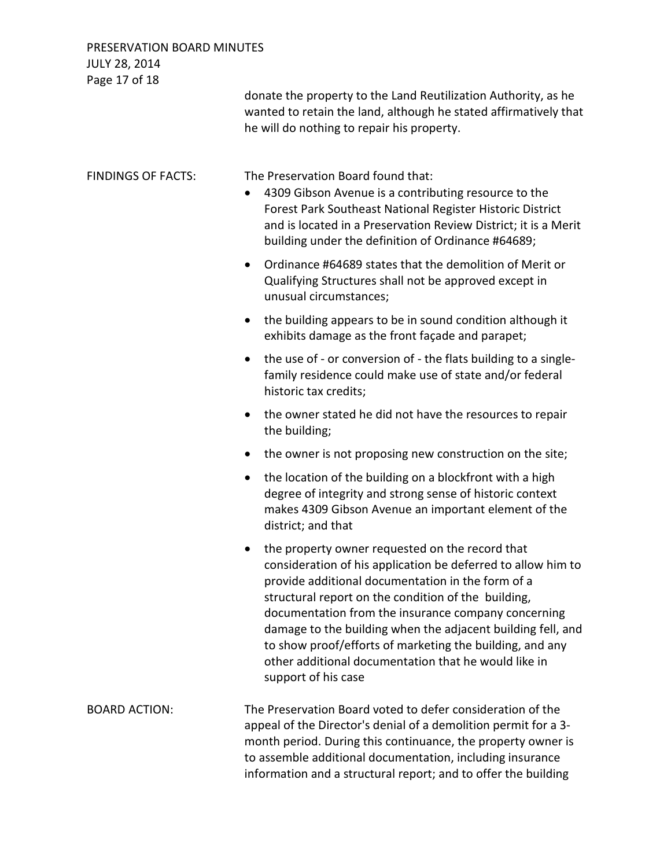| <b>JULY 28, 2014</b><br>Page 17 of 18 | donate the property to the Land Reutilization Authority, as he<br>wanted to retain the land, although he stated affirmatively that<br>he will do nothing to repair his property.                                                                                                                                                                                                                                                                                                             |
|---------------------------------------|----------------------------------------------------------------------------------------------------------------------------------------------------------------------------------------------------------------------------------------------------------------------------------------------------------------------------------------------------------------------------------------------------------------------------------------------------------------------------------------------|
| <b>FINDINGS OF FACTS:</b>             | The Preservation Board found that:<br>4309 Gibson Avenue is a contributing resource to the<br>$\bullet$<br>Forest Park Southeast National Register Historic District<br>and is located in a Preservation Review District; it is a Merit<br>building under the definition of Ordinance #64689;                                                                                                                                                                                                |
|                                       | Ordinance #64689 states that the demolition of Merit or<br>$\bullet$<br>Qualifying Structures shall not be approved except in<br>unusual circumstances;                                                                                                                                                                                                                                                                                                                                      |
|                                       | the building appears to be in sound condition although it<br>$\bullet$<br>exhibits damage as the front façade and parapet;                                                                                                                                                                                                                                                                                                                                                                   |
|                                       | the use of - or conversion of - the flats building to a single-<br>$\bullet$<br>family residence could make use of state and/or federal<br>historic tax credits;                                                                                                                                                                                                                                                                                                                             |
|                                       | the owner stated he did not have the resources to repair<br>$\bullet$<br>the building;                                                                                                                                                                                                                                                                                                                                                                                                       |
|                                       | the owner is not proposing new construction on the site;<br>$\bullet$                                                                                                                                                                                                                                                                                                                                                                                                                        |
|                                       | the location of the building on a blockfront with a high<br>$\bullet$<br>degree of integrity and strong sense of historic context<br>makes 4309 Gibson Avenue an important element of the<br>district; and that                                                                                                                                                                                                                                                                              |
|                                       | the property owner requested on the record that<br>consideration of his application be deferred to allow him to<br>provide additional documentation in the form of a<br>structural report on the condition of the building,<br>documentation from the insurance company concerning<br>damage to the building when the adjacent building fell, and<br>to show proof/efforts of marketing the building, and any<br>other additional documentation that he would like in<br>support of his case |
| <b>BOARD ACTION:</b>                  | The Preservation Board voted to defer consideration of the<br>appeal of the Director's denial of a demolition permit for a 3-<br>month period. During this continuance, the property owner is<br>to assemble additional documentation, including insurance                                                                                                                                                                                                                                   |

information and a structural report; and to offer the building